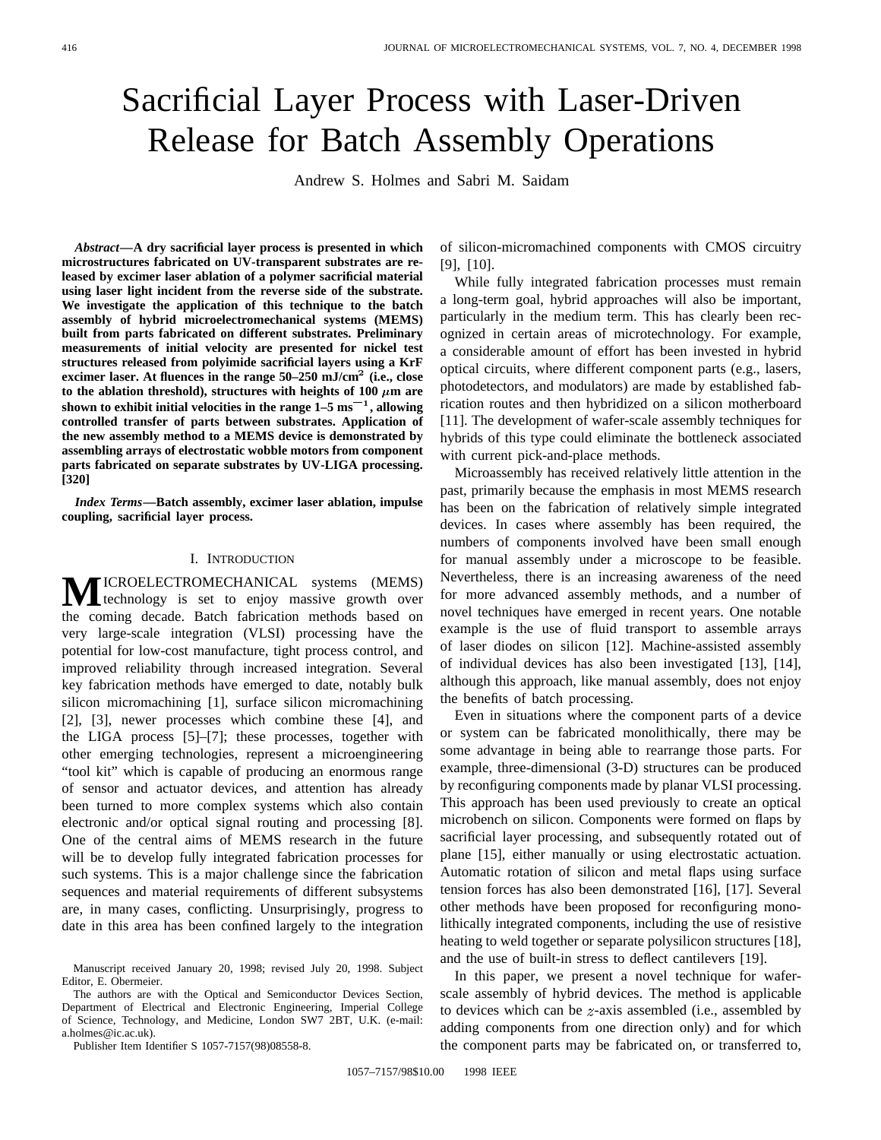# Sacrificial Layer Process with Laser-Driven Release for Batch Assembly Operations

Andrew S. Holmes and Sabri M. Saidam

*Abstract—***A dry sacrificial layer process is presented in which microstructures fabricated on UV-transparent substrates are released by excimer laser ablation of a polymer sacrificial material using laser light incident from the reverse side of the substrate. We investigate the application of this technique to the batch assembly of hybrid microelectromechanical systems (MEMS) built from parts fabricated on different substrates. Preliminary measurements of initial velocity are presented for nickel test structures released from polyimide sacrificial layers using a KrF excimer laser. At fluences in the range 50–250 mJ/cm**<sup>2</sup> **(i.e., close** to the ablation threshold), structures with heights of 100  $\mu$ m are<br>shown to exhibit initial velocities in the range 1–5 ms<sup>-1</sup>, allowing measurements of initial velocity are presented for nickel test<br>structures released from polyimide sacrificial layers using a KrF<br>excimer laser. At fluences in the range 50–250 mJ/cm<sup>2</sup> (i.e., close<br>to the ablation thresho **controlled transfer of parts between substrates. Application of the new assembly method to a MEMS device is demonstrated by assembling arrays of electrostatic wobble motors from component parts fabricated on separate substrates by UV-LIGA processing. [320]**

*Index Terms—***Batch assembly, excimer laser ablation, impulse coupling, sacrificial layer process.**

## I. INTRODUCTION

**MICROELECTROMECHANICAL** systems (MEMS) the coming decade. Batch fabrication methods based on very large-scale integration (VLSI) processing have the potential for low-cost manufacture, tight process control, and improved reliability through increased integration. Several key fabrication methods have emerged to date, notably bulk silicon micromachining [1], surface silicon micromachining [2], [3], newer processes which combine these [4], and the LIGA process [5]–[7]; these processes, together with other emerging technologies, represent a microengineering "tool kit" which is capable of producing an enormous range of sensor and actuator devices, and attention has already been turned to more complex systems which also contain electronic and/or optical signal routing and processing [8]. One of the central aims of MEMS research in the future will be to develop fully integrated fabrication processes for such systems. This is a major challenge since the fabrication sequences and material requirements of different subsystems are, in many cases, conflicting. Unsurprisingly, progress to date in this area has been confined largely to the integration

The authors are with the Optical and Semiconductor Devices Section, Department of Electrical and Electronic Engineering, Imperial College of Science, Technology, and Medicine, London SW7 2BT, U.K. (e-mail: a.holmes@ic.ac.uk).

Publisher Item Identifier S 1057-7157(98)08558-8.

of silicon-micromachined components with CMOS circuitry [9], [10].

While fully integrated fabrication processes must remain a long-term goal, hybrid approaches will also be important, particularly in the medium term. This has clearly been recognized in certain areas of microtechnology. For example, a considerable amount of effort has been invested in hybrid optical circuits, where different component parts (e.g., lasers, photodetectors, and modulators) are made by established fabrication routes and then hybridized on a silicon motherboard [11]. The development of wafer-scale assembly techniques for hybrids of this type could eliminate the bottleneck associated with current pick-and-place methods.

Microassembly has received relatively little attention in the past, primarily because the emphasis in most MEMS research has been on the fabrication of relatively simple integrated devices. In cases where assembly has been required, the numbers of components involved have been small enough for manual assembly under a microscope to be feasible. Nevertheless, there is an increasing awareness of the need for more advanced assembly methods, and a number of novel techniques have emerged in recent years. One notable example is the use of fluid transport to assemble arrays of laser diodes on silicon [12]. Machine-assisted assembly of individual devices has also been investigated [13], [14], although this approach, like manual assembly, does not enjoy the benefits of batch processing.

Even in situations where the component parts of a device or system can be fabricated monolithically, there may be some advantage in being able to rearrange those parts. For example, three-dimensional (3-D) structures can be produced by reconfiguring components made by planar VLSI processing. This approach has been used previously to create an optical microbench on silicon. Components were formed on flaps by sacrificial layer processing, and subsequently rotated out of plane [15], either manually or using electrostatic actuation. Automatic rotation of silicon and metal flaps using surface tension forces has also been demonstrated [16], [17]. Several other methods have been proposed for reconfiguring monolithically integrated components, including the use of resistive heating to weld together or separate polysilicon structures [18], and the use of built-in stress to deflect cantilevers [19].

In this paper, we present a novel technique for waferscale assembly of hybrid devices. The method is applicable to devices which can be  $z$ -axis assembled (i.e., assembled by adding components from one direction only) and for which the component parts may be fabricated on, or transferred to,

Manuscript received January 20, 1998; revised July 20, 1998. Subject Editor, E. Obermeier.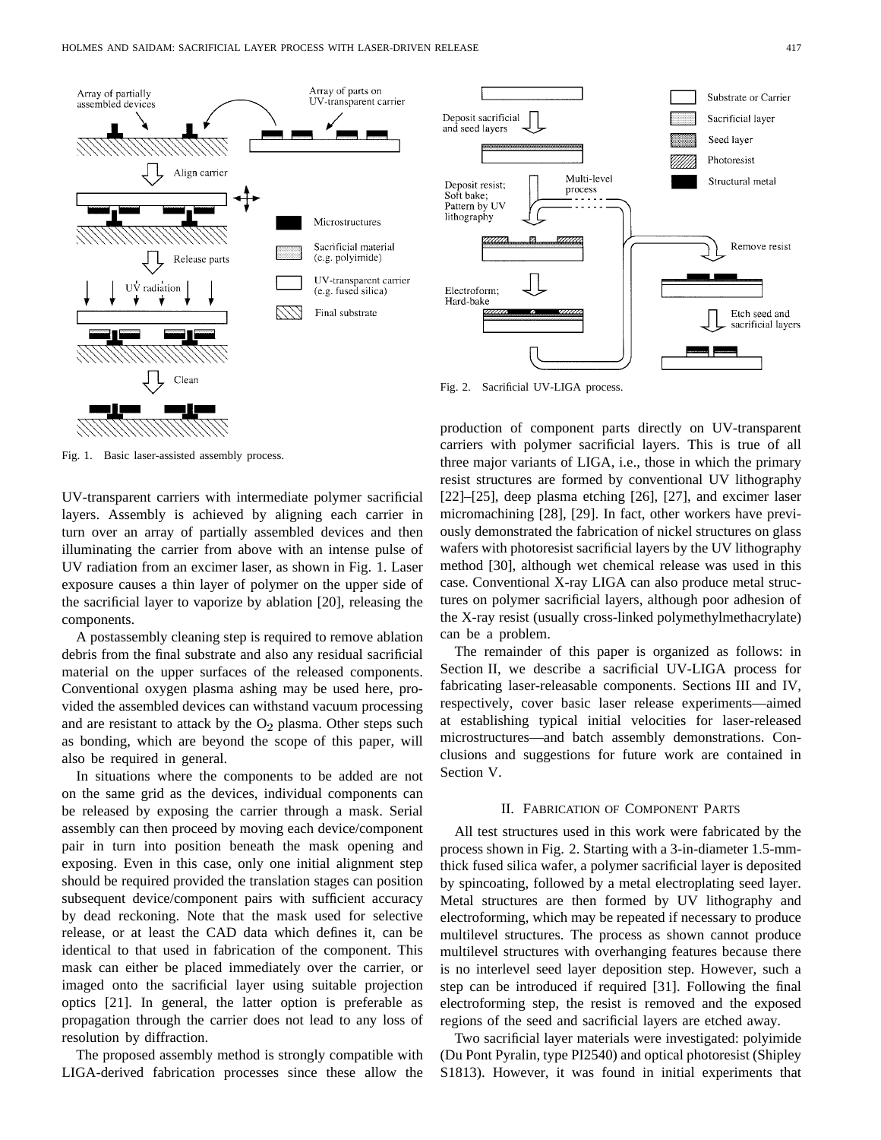

Fig. 1. Basic laser-assisted assembly process.

UV-transparent carriers with intermediate polymer sacrificial layers. Assembly is achieved by aligning each carrier in turn over an array of partially assembled devices and then illuminating the carrier from above with an intense pulse of UV radiation from an excimer laser, as shown in Fig. 1. Laser exposure causes a thin layer of polymer on the upper side of the sacrificial layer to vaporize by ablation [20], releasing the components.

A postassembly cleaning step is required to remove ablation debris from the final substrate and also any residual sacrificial material on the upper surfaces of the released components. Conventional oxygen plasma ashing may be used here, provided the assembled devices can withstand vacuum processing and are resistant to attack by the  $O_2$  plasma. Other steps such as bonding, which are beyond the scope of this paper, will also be required in general.

In situations where the components to be added are not on the same grid as the devices, individual components can be released by exposing the carrier through a mask. Serial assembly can then proceed by moving each device/component pair in turn into position beneath the mask opening and exposing. Even in this case, only one initial alignment step should be required provided the translation stages can position subsequent device/component pairs with sufficient accuracy by dead reckoning. Note that the mask used for selective release, or at least the CAD data which defines it, can be identical to that used in fabrication of the component. This mask can either be placed immediately over the carrier, or imaged onto the sacrificial layer using suitable projection optics [21]. In general, the latter option is preferable as propagation through the carrier does not lead to any loss of resolution by diffraction.

The proposed assembly method is strongly compatible with LIGA-derived fabrication processes since these allow the



Fig. 2. Sacrificial UV-LIGA process.

production of component parts directly on UV-transparent carriers with polymer sacrificial layers. This is true of all three major variants of LIGA, i.e., those in which the primary resist structures are formed by conventional UV lithography [22]–[25], deep plasma etching [26], [27], and excimer laser micromachining [28], [29]. In fact, other workers have previously demonstrated the fabrication of nickel structures on glass wafers with photoresist sacrificial layers by the UV lithography method [30], although wet chemical release was used in this case. Conventional X-ray LIGA can also produce metal structures on polymer sacrificial layers, although poor adhesion of the X-ray resist (usually cross-linked polymethylmethacrylate) can be a problem.

The remainder of this paper is organized as follows: in Section II, we describe a sacrificial UV-LIGA process for fabricating laser-releasable components. Sections III and IV, respectively, cover basic laser release experiments—aimed at establishing typical initial velocities for laser-released microstructures—and batch assembly demonstrations. Conclusions and suggestions for future work are contained in Section V.

# II. FABRICATION OF COMPONENT PARTS

All test structures used in this work were fabricated by the process shown in Fig. 2. Starting with a 3-in-diameter 1.5-mmthick fused silica wafer, a polymer sacrificial layer is deposited by spincoating, followed by a metal electroplating seed layer. Metal structures are then formed by UV lithography and electroforming, which may be repeated if necessary to produce multilevel structures. The process as shown cannot produce multilevel structures with overhanging features because there is no interlevel seed layer deposition step. However, such a step can be introduced if required [31]. Following the final electroforming step, the resist is removed and the exposed regions of the seed and sacrificial layers are etched away.

Two sacrificial layer materials were investigated: polyimide (Du Pont Pyralin, type PI2540) and optical photoresist (Shipley S1813). However, it was found in initial experiments that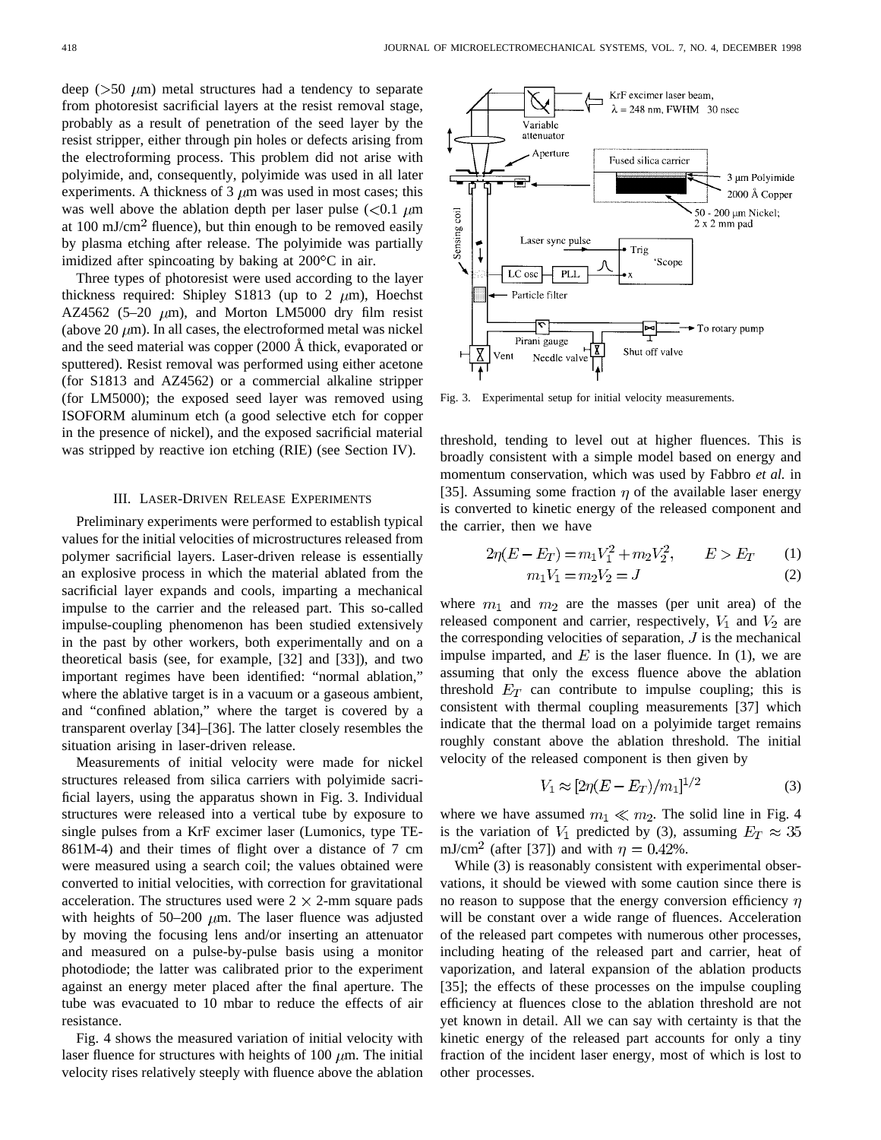deep ( $> 50 \mu m$ ) metal structures had a tendency to separate from photoresist sacrificial layers at the resist removal stage, probably as a result of penetration of the seed layer by the resist stripper, either through pin holes or defects arising from the electroforming process. This problem did not arise with polyimide, and, consequently, polyimide was used in all later experiments. A thickness of 3  $\mu$ m was used in most cases; this was well above the ablation depth per laser pulse  $(< 0.1 \mu m$ at  $100 \text{ mJ/cm}^2$  fluence), but thin enough to be removed easily by plasma etching after release. The polyimide was partially imidized after spincoating by baking at  $200^{\circ}$ C in air.

Three types of photoresist were used according to the layer thickness required: Shipley S1813 (up to 2  $\mu$ m), Hoechst AZ4562 (5–20  $\mu$ m), and Morton LM5000 dry film resist (above 20  $\mu$ m). In all cases, the electroformed metal was nickel and the seed material was copper  $(2000 \text{ Å}$  thick, evaporated or sputtered). Resist removal was performed using either acetone (for S1813 and AZ4562) or a commercial alkaline stripper (for LM5000); the exposed seed layer was removed using ISOFORM aluminum etch (a good selective etch for copper in the presence of nickel), and the exposed sacrificial material was stripped by reactive ion etching (RIE) (see Section IV).

# III. LASER-DRIVEN RELEASE EXPERIMENTS

Preliminary experiments were performed to establish typical values for the initial velocities of microstructures released from polymer sacrificial layers. Laser-driven release is essentially an explosive process in which the material ablated from the sacrificial layer expands and cools, imparting a mechanical impulse to the carrier and the released part. This so-called impulse-coupling phenomenon has been studied extensively in the past by other workers, both experimentally and on a theoretical basis (see, for example, [32] and [33]), and two important regimes have been identified: "normal ablation," where the ablative target is in a vacuum or a gaseous ambient, and "confined ablation," where the target is covered by a transparent overlay [34]–[36]. The latter closely resembles the situation arising in laser-driven release.

Measurements of initial velocity were made for nickel structures released from silica carriers with polyimide sacrificial layers, using the apparatus shown in Fig. 3. Individual structures were released into a vertical tube by exposure to single pulses from a KrF excimer laser (Lumonics, type TE-861M-4) and their times of flight over a distance of 7 cm were measured using a search coil; the values obtained were converted to initial velocities, with correction for gravitational acceleration. The structures used were  $2 \times 2$ -mm square pads with heights of 50–200  $\mu$ m. The laser fluence was adjusted by moving the focusing lens and/or inserting an attenuator and measured on a pulse-by-pulse basis using a monitor photodiode; the latter was calibrated prior to the experiment against an energy meter placed after the final aperture. The tube was evacuated to 10 mbar to reduce the effects of air resistance.

Fig. 4 shows the measured variation of initial velocity with laser fluence for structures with heights of 100  $\mu$ m. The initial velocity rises relatively steeply with fluence above the ablation



Fig. 3. Experimental setup for initial velocity measurements.

threshold, tending to level out at higher fluences. This is broadly consistent with a simple model based on energy and momentum conservation, which was used by Fabbro *et al.* in [35]. Assuming some fraction  $\eta$  of the available laser energy is converted to kinetic energy of the released component and the carrier, then we have

$$
2\eta(E - E_T) = m_1 V_1^2 + m_2 V_2^2, \qquad E > E_T \qquad (1)
$$
  

$$
m_1 V_1 = m_2 V_2 = J \qquad (2)
$$

$$
m_1v_1 - m_2v_2 = 0 \tag{2}
$$

where  $m_1$  and  $m_2$  are the masses (per unit area) of the released component and carrier, respectively,  $V_1$  and  $V_2$  are the corresponding velocities of separation,  $J$  is the mechanical impulse imparted, and  $E$  is the laser fluence. In (1), we are assuming that only the excess fluence above the ablation threshold  $E_T$  can contribute to impulse coupling; this is consistent with thermal coupling measurements [37] which indicate that the thermal load on a polyimide target remains roughly constant above the ablation threshold. The initial velocity of the released component is then given by

$$
V_1 \approx [2\eta (E - E_T)/m_1]^{1/2} \tag{3}
$$

where we have assumed  $m_1 \ll m_2$ . The solid line in Fig. 4 is the variation of  $V_1$  predicted by (3), assuming  $E_T \approx 35$ mJ/cm<sup>2</sup> (after [37]) and with  $\eta = 0.42\%$ .

While  $(3)$  is reasonably consistent with experimental observations, it should be viewed with some caution since there is no reason to suppose that the energy conversion efficiency  $\eta$ will be constant over a wide range of fluences. Acceleration of the released part competes with numerous other processes, including heating of the released part and carrier, heat of vaporization, and lateral expansion of the ablation products [35]; the effects of these processes on the impulse coupling efficiency at fluences close to the ablation threshold are not yet known in detail. All we can say with certainty is that the kinetic energy of the released part accounts for only a tiny fraction of the incident laser energy, most of which is lost to other processes.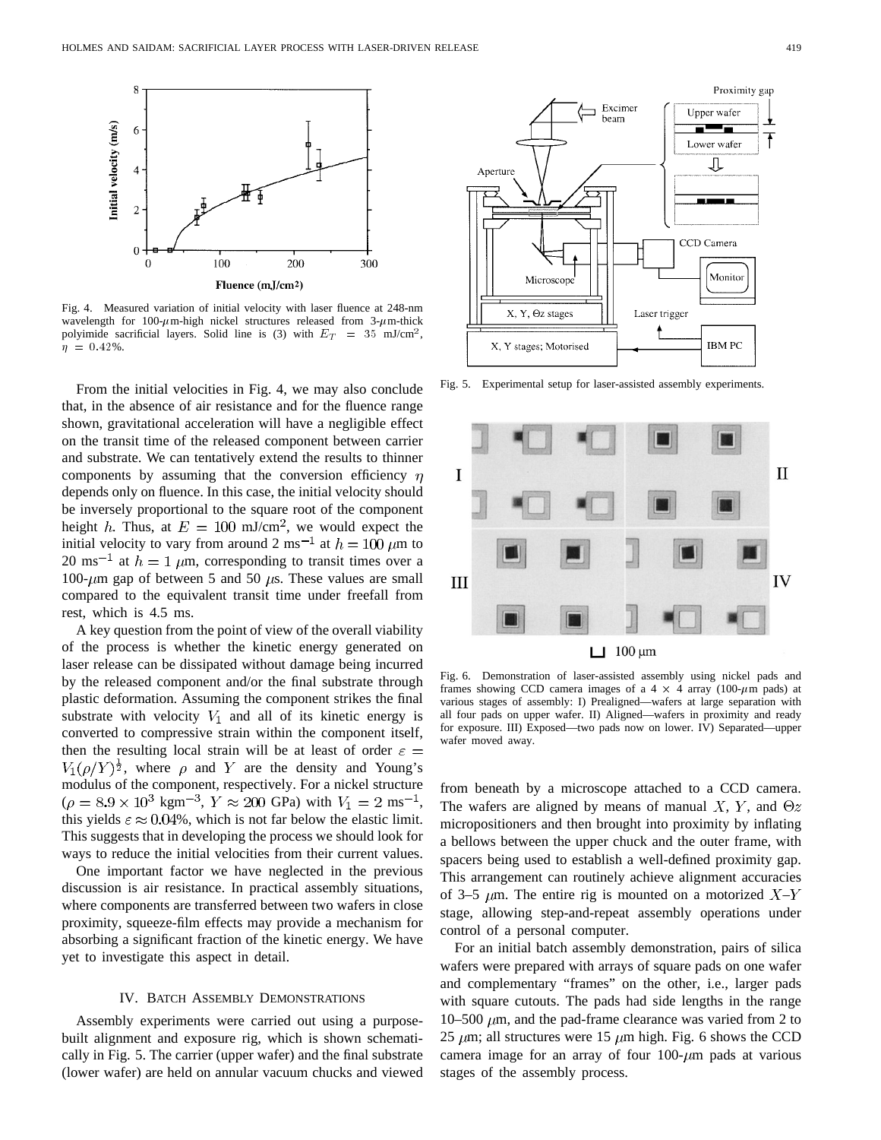

Fig. 4. Measured variation of initial velocity with laser fluence at 248-nm wavelength for 100- $\mu$ m-high nickel structures released from 3- $\mu$ m-thick polyimide sacrificial layers. Solid line is (3) with  $E_T = 35$  mJ/cm<sup>2</sup>,  $\eta = 0.42\%$ .

From the initial velocities in Fig. 4, we may also conclude that, in the absence of air resistance and for the fluence range shown, gravitational acceleration will have a negligible effect on the transit time of the released component between carrier and substrate. We can tentatively extend the results to thinner components by assuming that the conversion efficiency  $\eta$ depends only on fluence. In this case, the initial velocity should be inversely proportional to the square root of the component height h. Thus, at  $E = 100$  mJ/cm<sup>2</sup>, we would expect the initial velocity to vary from around 2 ms<sup>-1</sup> at  $h = 100 \ \mu m$  to 20 ms<sup>-1</sup> at  $h = 1 \mu$ m, corresponding to transit times over a 100- $\mu$ m gap of between 5 and 50  $\mu$ s. These values are small compared to the equivalent transit time under freefall from rest, which is 4.5 ms.

A key question from the point of view of the overall viability of the process is whether the kinetic energy generated on laser release can be dissipated without damage being incurred by the released component and/or the final substrate through plastic deformation. Assuming the component strikes the final substrate with velocity  $V_1$  and all of its kinetic energy is converted to compressive strain within the component itself, then the resulting local strain will be at least of order  $\varepsilon =$  $V_1(\rho/Y)^{\frac{1}{2}}$ , where  $\rho$  and Y are the density and Young's modulus of the component, respectively. For a nickel structure  $(\rho = 8.9 \times 10^3 \text{ kgm}^{-3}, Y \approx 200 \text{ GPa})$  with  $V_1 = 2 \text{ ms}^{-1}$ , this yields  $\varepsilon \approx 0.04\%$ , which is not far below the elastic limit. This suggests that in developing the process we should look for ways to reduce the initial velocities from their current values.

One important factor we have neglected in the previous discussion is air resistance. In practical assembly situations, where components are transferred between two wafers in close proximity, squeeze-film effects may provide a mechanism for absorbing a significant fraction of the kinetic energy. We have yet to investigate this aspect in detail.

#### IV. BATCH ASSEMBLY DEMONSTRATIONS

Assembly experiments were carried out using a purposebuilt alignment and exposure rig, which is shown schematically in Fig. 5. The carrier (upper wafer) and the final substrate (lower wafer) are held on annular vacuum chucks and viewed



Fig. 5. Experimental setup for laser-assisted assembly experiments.



Fig. 6. Demonstration of laser-assisted assembly using nickel pads and frames showing CCD camera images of a  $4 \times 4$  array (100- $\mu$ m pads) at various stages of assembly: I) Prealigned—wafers at large separation with all four pads on upper wafer. II) Aligned—wafers in proximity and ready for exposure. III) Exposed—two pads now on lower. IV) Separated—upper wafer moved away.

from beneath by a microscope attached to a CCD camera. The wafers are aligned by means of manual X, Y, and  $\Theta z$ micropositioners and then brought into proximity by inflating a bellows between the upper chuck and the outer frame, with spacers being used to establish a well-defined proximity gap. This arrangement can routinely achieve alignment accuracies of 3–5  $\mu$ m. The entire rig is mounted on a motorized  $X-Y$ stage, allowing step-and-repeat assembly operations under control of a personal computer.

For an initial batch assembly demonstration, pairs of silica wafers were prepared with arrays of square pads on one wafer and complementary "frames" on the other, i.e., larger pads with square cutouts. The pads had side lengths in the range 10–500  $\mu$ m, and the pad-frame clearance was varied from 2 to 25  $\mu$ m; all structures were 15  $\mu$ m high. Fig. 6 shows the CCD camera image for an array of four  $100-\mu m$  pads at various stages of the assembly process.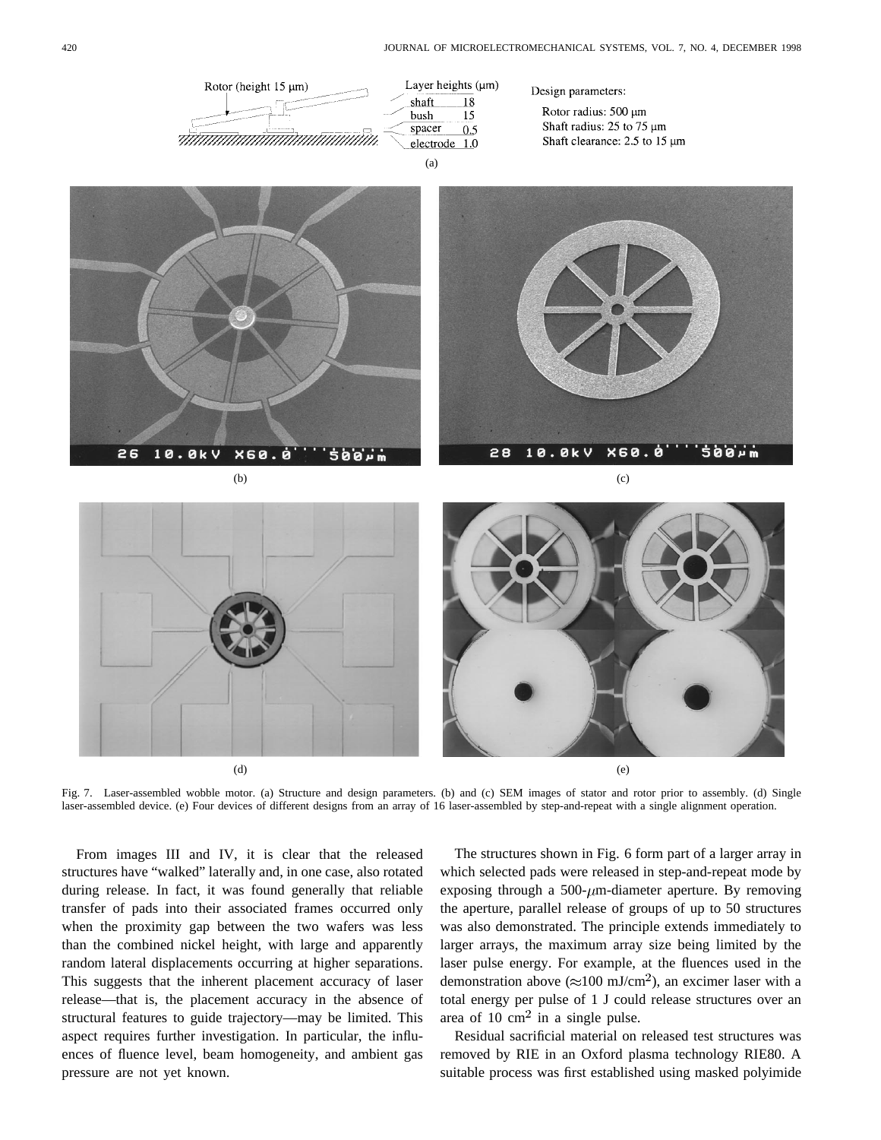

 $\qquad \qquad \textbf{(d)}$ 

Fig. 7. Laser-assembled wobble motor. (a) Structure and design parameters. (b) and (c) SEM images of stator and rotor prior to assembly. (d) Single laser-assembled device. (e) Four devices of different designs from an array of 16 laser-assembled by step-and-repeat with a single alignment operation.

From images III and IV, it is clear that the released structures have "walked" laterally and, in one case, also rotated during release. In fact, it was found generally that reliable transfer of pads into their associated frames occurred only when the proximity gap between the two wafers was less than the combined nickel height, with large and apparently random lateral displacements occurring at higher separations. This suggests that the inherent placement accuracy of laser release—that is, the placement accuracy in the absence of structural features to guide trajectory—may be limited. This aspect requires further investigation. In particular, the influences of fluence level, beam homogeneity, and ambient gas pressure are not yet known.

The structures shown in Fig. 6 form part of a larger array in which selected pads were released in step-and-repeat mode by exposing through a 500- $\mu$ m-diameter aperture. By removing the aperture, parallel release of groups of up to 50 structures was also demonstrated. The principle extends immediately to larger arrays, the maximum array size being limited by the laser pulse energy. For example, at the fluences used in the demonstration above ( $\approx$ 100 mJ/cm<sup>2</sup>), an excimer laser with a total energy per pulse of 1 J could release structures over an area of 10  $\text{cm}^2$  in a single pulse.

Residual sacrificial material on released test structures was removed by RIE in an Oxford plasma technology RIE80. A suitable process was first established using masked polyimide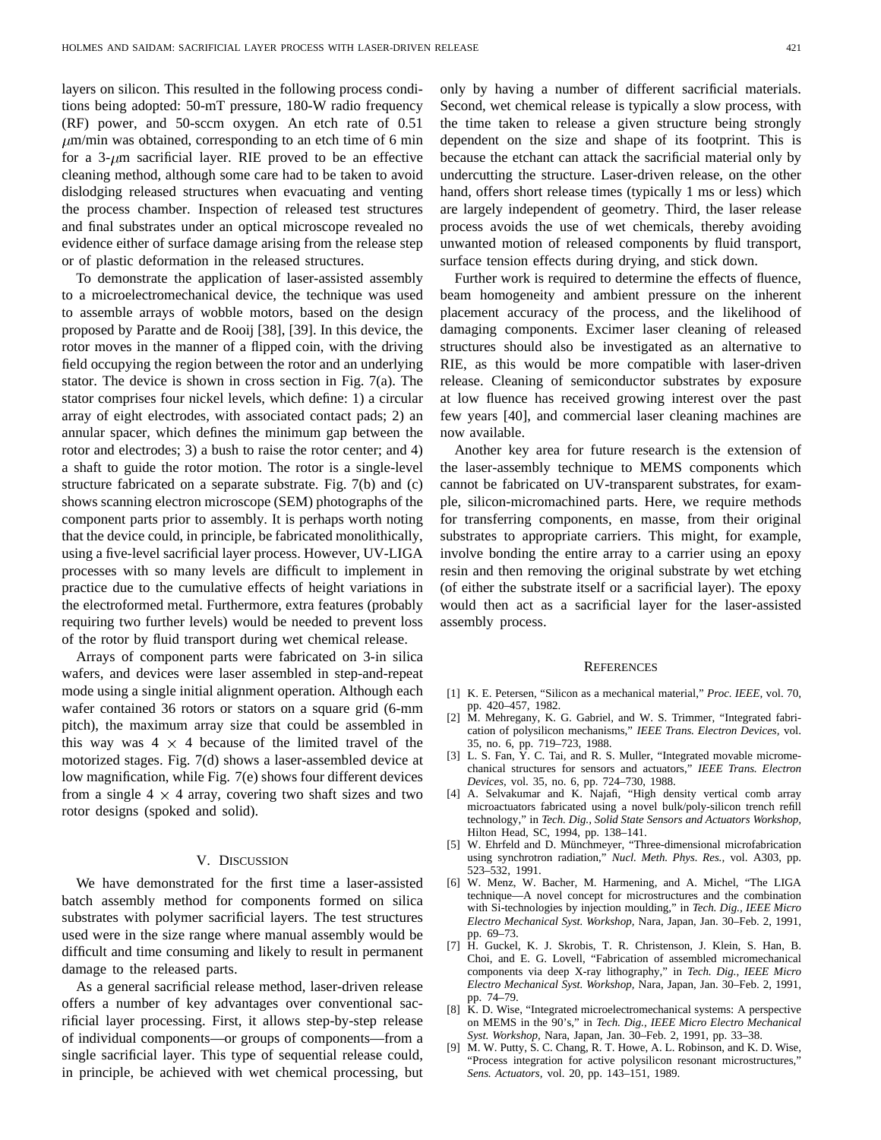layers on silicon. This resulted in the following process conditions being adopted: 50-mT pressure, 180-W radio frequency (RF) power, and 50-sccm oxygen. An etch rate of 0.51  $\mu$ m/min was obtained, corresponding to an etch time of 6 min for a 3- $\mu$ m sacrificial layer. RIE proved to be an effective cleaning method, although some care had to be taken to avoid dislodging released structures when evacuating and venting the process chamber. Inspection of released test structures and final substrates under an optical microscope revealed no evidence either of surface damage arising from the release step or of plastic deformation in the released structures.

To demonstrate the application of laser-assisted assembly to a microelectromechanical device, the technique was used to assemble arrays of wobble motors, based on the design proposed by Paratte and de Rooij [38], [39]. In this device, the rotor moves in the manner of a flipped coin, with the driving field occupying the region between the rotor and an underlying stator. The device is shown in cross section in Fig. 7(a). The stator comprises four nickel levels, which define: 1) a circular array of eight electrodes, with associated contact pads; 2) an annular spacer, which defines the minimum gap between the rotor and electrodes; 3) a bush to raise the rotor center; and 4) a shaft to guide the rotor motion. The rotor is a single-level structure fabricated on a separate substrate. Fig. 7(b) and (c) shows scanning electron microscope (SEM) photographs of the component parts prior to assembly. It is perhaps worth noting that the device could, in principle, be fabricated monolithically, using a five-level sacrificial layer process. However, UV-LIGA processes with so many levels are difficult to implement in practice due to the cumulative effects of height variations in the electroformed metal. Furthermore, extra features (probably requiring two further levels) would be needed to prevent loss of the rotor by fluid transport during wet chemical release.

Arrays of component parts were fabricated on 3-in silica wafers, and devices were laser assembled in step-and-repeat mode using a single initial alignment operation. Although each wafer contained 36 rotors or stators on a square grid (6-mm pitch), the maximum array size that could be assembled in this way was  $4 \times 4$  because of the limited travel of the motorized stages. Fig. 7(d) shows a laser-assembled device at low magnification, while Fig. 7(e) shows four different devices from a single  $4 \times 4$  array, covering two shaft sizes and two rotor designs (spoked and solid).

### V. DISCUSSION

We have demonstrated for the first time a laser-assisted batch assembly method for components formed on silica substrates with polymer sacrificial layers. The test structures used were in the size range where manual assembly would be difficult and time consuming and likely to result in permanent damage to the released parts.

As a general sacrificial release method, laser-driven release offers a number of key advantages over conventional sacrificial layer processing. First, it allows step-by-step release of individual components—or groups of components—from a single sacrificial layer. This type of sequential release could, in principle, be achieved with wet chemical processing, but

only by having a number of different sacrificial materials. Second, wet chemical release is typically a slow process, with the time taken to release a given structure being strongly dependent on the size and shape of its footprint. This is because the etchant can attack the sacrificial material only by undercutting the structure. Laser-driven release, on the other hand, offers short release times (typically 1 ms or less) which are largely independent of geometry. Third, the laser release process avoids the use of wet chemicals, thereby avoiding unwanted motion of released components by fluid transport, surface tension effects during drying, and stick down.

Further work is required to determine the effects of fluence, beam homogeneity and ambient pressure on the inherent placement accuracy of the process, and the likelihood of damaging components. Excimer laser cleaning of released structures should also be investigated as an alternative to RIE, as this would be more compatible with laser-driven release. Cleaning of semiconductor substrates by exposure at low fluence has received growing interest over the past few years [40], and commercial laser cleaning machines are now available.

Another key area for future research is the extension of the laser-assembly technique to MEMS components which cannot be fabricated on UV-transparent substrates, for example, silicon-micromachined parts. Here, we require methods for transferring components, en masse, from their original substrates to appropriate carriers. This might, for example, involve bonding the entire array to a carrier using an epoxy resin and then removing the original substrate by wet etching (of either the substrate itself or a sacrificial layer). The epoxy would then act as a sacrificial layer for the laser-assisted assembly process.

#### **REFERENCES**

- [1] K. E. Petersen, "Silicon as a mechanical material," *Proc. IEEE,* vol. 70, pp. 420–457, 1982.
- [2] M. Mehregany, K. G. Gabriel, and W. S. Trimmer, "Integrated fabrication of polysilicon mechanisms," *IEEE Trans. Electron Devices,* vol. 35, no. 6, pp. 719–723, 1988.
- [3] L. S. Fan, Y. C. Tai, and R. S. Muller, "Integrated movable micromechanical structures for sensors and actuators," *IEEE Trans. Electron Devices,* vol. 35, no. 6, pp. 724–730, 1988.
- [4] A. Selvakumar and K. Najafi, "High density vertical comb array microactuators fabricated using a novel bulk/poly-silicon trench refill technology," in *Tech. Dig., Solid State Sensors and Actuators Workshop,* Hilton Head, SC, 1994, pp. 138–141.
- [5] W. Ehrfeld and D. Münchmeyer, "Three-dimensional microfabrication using synchrotron radiation," *Nucl. Meth. Phys. Res.,* vol. A303, pp. 523–532, 1991.
- [6] W. Menz, W. Bacher, M. Harmening, and A. Michel, "The LIGA technique—A novel concept for microstructures and the combination with Si-technologies by injection moulding," in *Tech. Dig., IEEE Micro Electro Mechanical Syst. Workshop,* Nara, Japan, Jan. 30–Feb. 2, 1991, pp. 69–73.
- [7] H. Guckel, K. J. Skrobis, T. R. Christenson, J. Klein, S. Han, B. Choi, and E. G. Lovell, "Fabrication of assembled micromechanical components via deep X-ray lithography," in *Tech. Dig., IEEE Micro Electro Mechanical Syst. Workshop,* Nara, Japan, Jan. 30–Feb. 2, 1991, pp. 74–79.
- [8] K. D. Wise, "Integrated microelectromechanical systems: A perspective on MEMS in the 90's," in *Tech. Dig., IEEE Micro Electro Mechanical Syst. Workshop,* Nara, Japan, Jan. 30–Feb. 2, 1991, pp. 33–38.
- [9] M. W. Putty, S. C. Chang, R. T. Howe, A. L. Robinson, and K. D. Wise, "Process integration for active polysilicon resonant microstructures," *Sens. Actuators,* vol. 20, pp. 143–151, 1989.